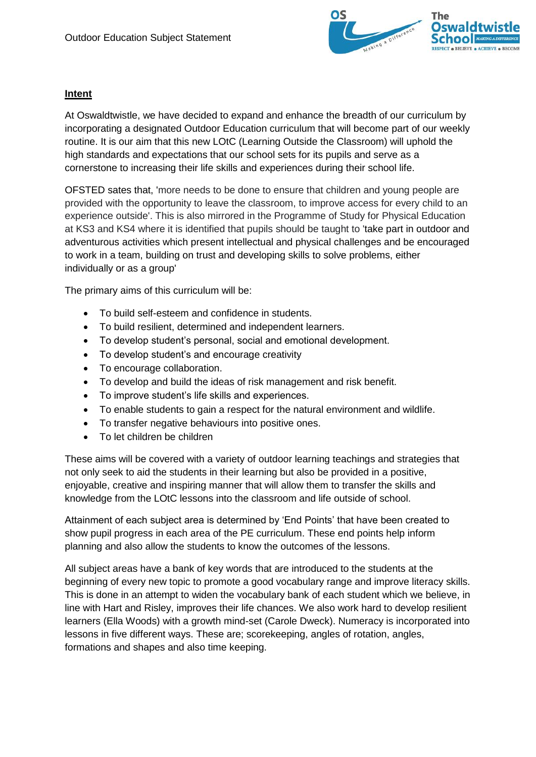

## **Intent**

At Oswaldtwistle, we have decided to expand and enhance the breadth of our curriculum by incorporating a designated Outdoor Education curriculum that will become part of our weekly routine. It is our aim that this new LOtC (Learning Outside the Classroom) will uphold the high standards and expectations that our school sets for its pupils and serve as a cornerstone to increasing their life skills and experiences during their school life.

OFSTED sates that, 'more needs to be done to ensure that children and young people are provided with the opportunity to leave the classroom, to improve access for every child to an experience outside'. This is also mirrored in the Programme of Study for Physical Education at KS3 and KS4 where it is identified that pupils should be taught to 'take part in outdoor and adventurous activities which present intellectual and physical challenges and be encouraged to work in a team, building on trust and developing skills to solve problems, either individually or as a group'

The primary aims of this curriculum will be:

- To build self-esteem and confidence in students.
- To build resilient, determined and independent learners.
- To develop student's personal, social and emotional development.
- To develop student's and encourage creativity
- To encourage collaboration.
- To develop and build the ideas of risk management and risk benefit.
- To improve student's life skills and experiences.
- To enable students to gain a respect for the natural environment and wildlife.
- To transfer negative behaviours into positive ones.
- To let children be children

These aims will be covered with a variety of outdoor learning teachings and strategies that not only seek to aid the students in their learning but also be provided in a positive, enjoyable, creative and inspiring manner that will allow them to transfer the skills and knowledge from the LOtC lessons into the classroom and life outside of school.

Attainment of each subject area is determined by 'End Points' that have been created to show pupil progress in each area of the PE curriculum. These end points help inform planning and also allow the students to know the outcomes of the lessons.

All subject areas have a bank of key words that are introduced to the students at the beginning of every new topic to promote a good vocabulary range and improve literacy skills. This is done in an attempt to widen the vocabulary bank of each student which we believe, in line with Hart and Risley, improves their life chances. We also work hard to develop resilient learners (Ella Woods) with a growth mind-set (Carole Dweck). Numeracy is incorporated into lessons in five different ways. These are; scorekeeping, angles of rotation, angles, formations and shapes and also time keeping.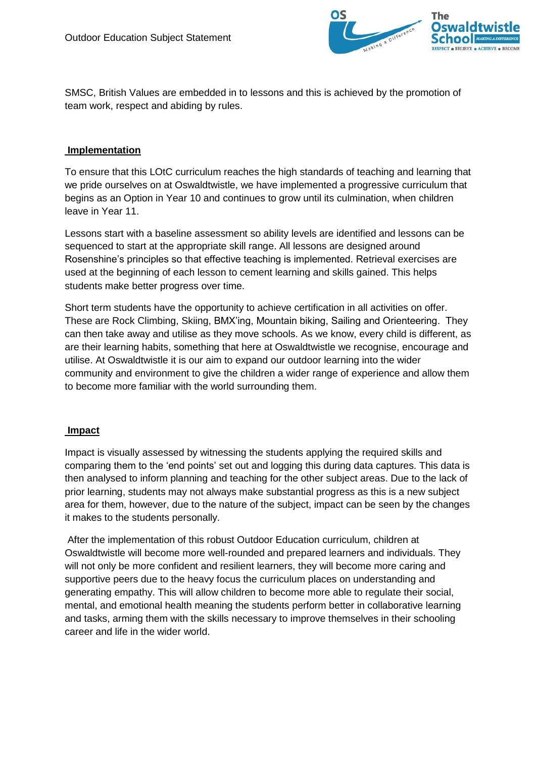

SMSC, British Values are embedded in to lessons and this is achieved by the promotion of team work, respect and abiding by rules.

## **Implementation**

To ensure that this LOtC curriculum reaches the high standards of teaching and learning that we pride ourselves on at Oswaldtwistle, we have implemented a progressive curriculum that begins as an Option in Year 10 and continues to grow until its culmination, when children leave in Year 11.

Lessons start with a baseline assessment so ability levels are identified and lessons can be sequenced to start at the appropriate skill range. All lessons are designed around Rosenshine's principles so that effective teaching is implemented. Retrieval exercises are used at the beginning of each lesson to cement learning and skills gained. This helps students make better progress over time.

Short term students have the opportunity to achieve certification in all activities on offer. These are Rock Climbing, Skiing, BMX'ing, Mountain biking, Sailing and Orienteering. They can then take away and utilise as they move schools. As we know, every child is different, as are their learning habits, something that here at Oswaldtwistle we recognise, encourage and utilise. At Oswaldtwistle it is our aim to expand our outdoor learning into the wider community and environment to give the children a wider range of experience and allow them to become more familiar with the world surrounding them.

## **Impact**

Impact is visually assessed by witnessing the students applying the required skills and comparing them to the 'end points' set out and logging this during data captures. This data is then analysed to inform planning and teaching for the other subject areas. Due to the lack of prior learning, students may not always make substantial progress as this is a new subject area for them, however, due to the nature of the subject, impact can be seen by the changes it makes to the students personally.

After the implementation of this robust Outdoor Education curriculum, children at Oswaldtwistle will become more well-rounded and prepared learners and individuals. They will not only be more confident and resilient learners, they will become more caring and supportive peers due to the heavy focus the curriculum places on understanding and generating empathy. This will allow children to become more able to regulate their social, mental, and emotional health meaning the students perform better in collaborative learning and tasks, arming them with the skills necessary to improve themselves in their schooling career and life in the wider world.